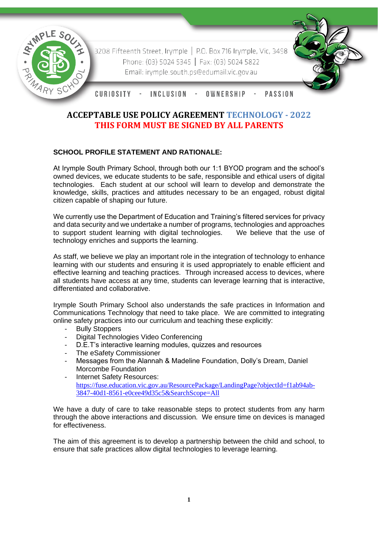

3208 Fifteenth Street, Irymple | P.O. Box 716 Irymple, Vic, 3498 Phone: (03) 5024 5345 | Fax: (03) 5024 5822 Email: irymple.south.ps@edumail.vic.gov.au



CURIOSITY INCLUSION -OWNERSHIP **PASSION** 

# **ACCEPTABLE USE POLICY AGREEMENT TECHNOLOGY - 2022 THIS FORM MUST BE SIGNED BY ALL PARENTS**

## **SCHOOL PROFILE STATEMENT AND RATIONALE:**

At Irymple South Primary School, through both our 1:1 BYOD program and the school's owned devices, we educate students to be safe, responsible and ethical users of digital technologies. Each student at our school will learn to develop and demonstrate the knowledge, skills, practices and attitudes necessary to be an engaged, robust digital citizen capable of shaping our future.

We currently use the Department of Education and Training's filtered services for privacy and data security and we undertake a number of programs, technologies and approaches<br>to support student learning with digital technologies. We believe that the use of to support student learning with digital technologies. technology enriches and supports the learning.

As staff, we believe we play an important role in the integration of technology to enhance learning with our students and ensuring it is used appropriately to enable efficient and effective learning and teaching practices. Through increased access to devices, where all students have access at any time, students can leverage learning that is interactive, differentiated and collaborative.

Irymple South Primary School also understands the safe practices in Information and Communications Technology that need to take place. We are committed to integrating online safety practices into our curriculum and teaching these explicitly:

- Bully Stoppers
- Digital Technologies Video Conferencing
- D.E.T's interactive learning modules, quizzes and resources
- The eSafety Commissioner
- Messages from the Alannah & Madeline Foundation, Dolly's Dream, Daniel Morcombe Foundation
- Internet Safety Resources: [https://fuse.education.vic.gov.au/ResourcePackage/LandingPage?objectId=f1ab94ab-](https://fuse.education.vic.gov.au/ResourcePackage/LandingPage?objectId=f1ab94ab-3847-40d1-8561-e0cee49d35c5&SearchScope=All)[3847-40d1-8561-e0cee49d35c5&SearchScope=All](https://fuse.education.vic.gov.au/ResourcePackage/LandingPage?objectId=f1ab94ab-3847-40d1-8561-e0cee49d35c5&SearchScope=All)

We have a duty of care to take reasonable steps to protect students from any harm through the above interactions and discussion. We ensure time on devices is managed for effectiveness.

The aim of this agreement is to develop a partnership between the child and school, to ensure that safe practices allow digital technologies to leverage learning.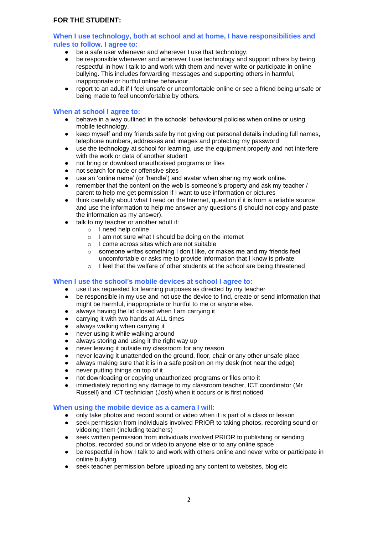#### **When I use technology, both at school and at home, I have responsibilities and rules to follow. I agree to:**

- be a safe user whenever and wherever I use that technology.
- be responsible whenever and wherever I use technology and support others by being respectful in how I talk to and work with them and never write or participate in online bullying. This includes forwarding messages and supporting others in harmful, inappropriate or hurtful online behaviour.
- report to an adult if I feel unsafe or uncomfortable online or see a friend being unsafe or being made to feel uncomfortable by others.

#### **When at school I agree to:**

- behave in a way outlined in the schools' behavioural policies when online or using mobile technology.
- keep myself and my friends safe by not giving out personal details including full names, telephone numbers, addresses and images and protecting my password
- use the technology at school for learning, use the equipment properly and not interfere with the work or data of another student
- not bring or download unauthorised programs or files
- not search for rude or offensive sites
- use an 'online name' (or 'handle') and avatar when sharing my work online.
- remember that the content on the web is someone's property and ask my teacher / parent to help me get permission if I want to use information or pictures
- think carefully about what I read on the Internet, question if it is from a reliable source and use the information to help me answer any questions (I should not copy and paste the information as my answer).
- talk to my teacher or another adult if:
	- o I need help online
	- $\circ$  I am not sure what I should be doing on the internet
	- o I come across sites which are not suitable
	- o someone writes something I don't like, or makes me and my friends feel uncomfortable or asks me to provide information that I know is private
	- o I feel that the welfare of other students at the school are being threatened

#### **When I use the school's mobile devices at school I agree to:**

- use it as requested for learning purposes as directed by my teacher
- be responsible in my use and not use the device to find, create or send information that might be harmful, inappropriate or hurtful to me or anyone else.
- always having the lid closed when I am carrying it
- carrying it with two hands at ALL times
- always walking when carrying it
- never using it while walking around
- always storing and using it the right way up
- never leaving it outside my classroom for any reason
- never leaving it unattended on the ground, floor, chair or any other unsafe place
- always making sure that it is in a safe position on my desk (not near the edge)
- never putting things on top of it<br>● not downloading or conving una
- not downloading or copying unauthorized programs or files onto it
- immediately reporting any damage to my classroom teacher, ICT coordinator (Mr Russell) and ICT technician (Josh) when it occurs or is first noticed

### **When using the mobile device as a camera I will:**

- only take photos and record sound or video when it is part of a class or lesson
- seek permission from individuals involved PRIOR to taking photos, recording sound or videoing them (including teachers)
- seek written permission from individuals involved PRIOR to publishing or sending photos, recorded sound or video to anyone else or to any online space
- be respectful in how I talk to and work with others online and never write or participate in online bullying
- seek teacher permission before uploading any content to websites, blog etc